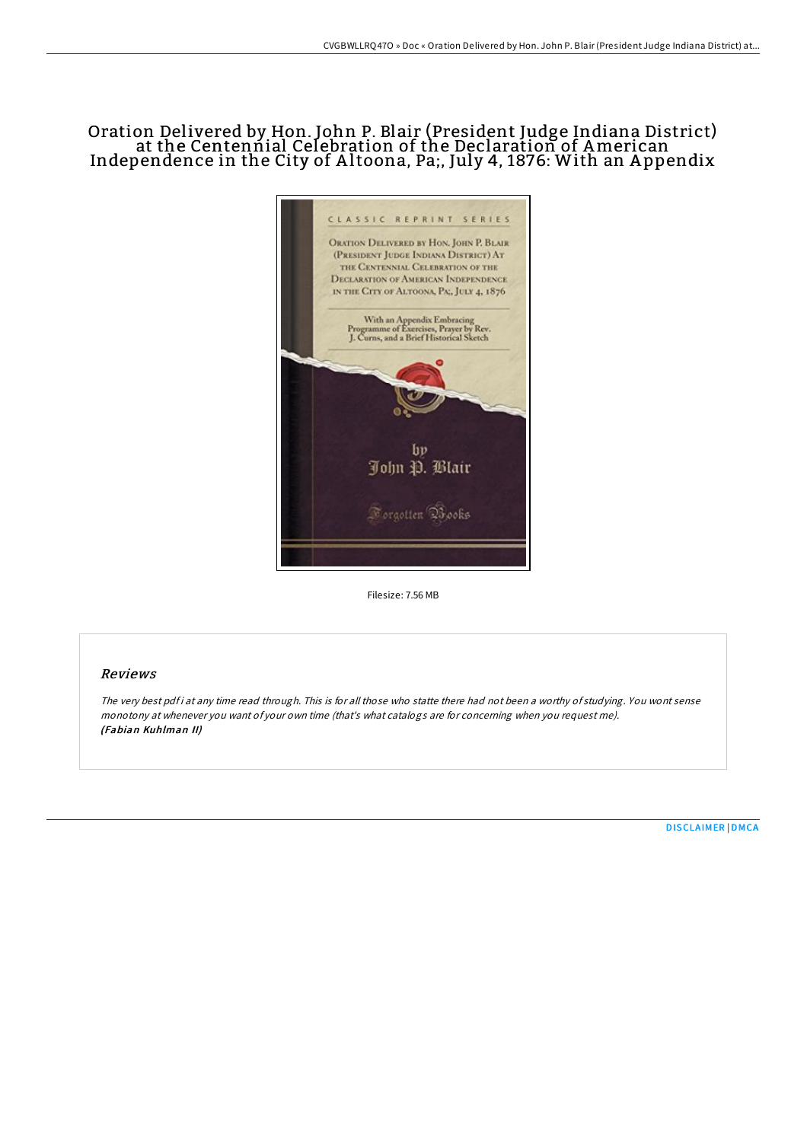# Oration Delivered by Hon. John P. Blair (President Judge Indiana District) at the Centennial Celebration of the Declaration of American Independence in the City of A ltoona, Pa;, July 4, 1876: With an A ppendix



Filesize: 7.56 MB

## Reviews

The very best pdf i at any time read through. This is for all those who statte there had not been a worthy of studying. You wont sense monotony at whenever you want of your own time (that's what catalogs are for concerning when you request me). (Fabian Kuhlman II)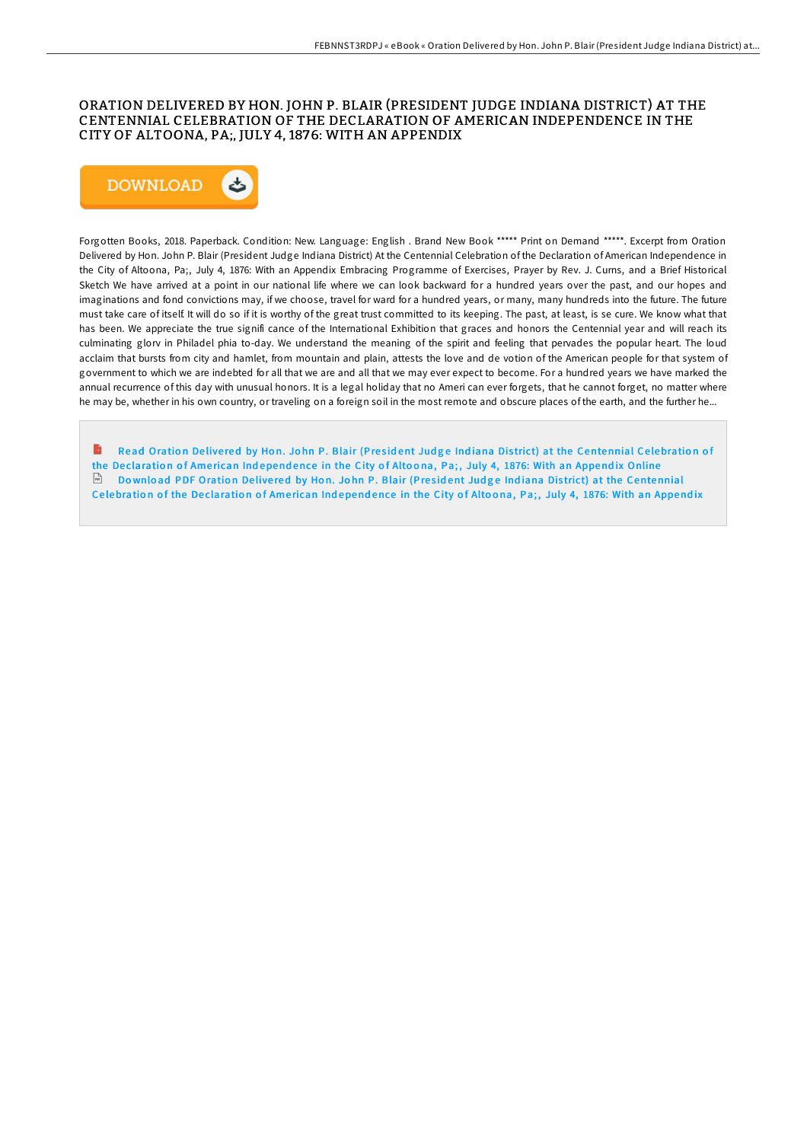## ORATION DELIVERED BY HON. JOHN P. BLAIR (PRESIDENT JUDGE INDIANA DISTRICT) AT THE CENTENNIAL CELEBRATION OF THE DECLARATION OF AMERICAN INDEPENDENCE IN THE CITY OF ALTOONA, PA;, JULY 4, 1876: WITH AN APPENDIX



Forgotten Books, 2018. Paperback. Condition: New. Language: English . Brand New Book \*\*\*\*\* Print on Demand \*\*\*\*\*. Excerpt from Oration Delivered by Hon. John P. Blair (President Judge Indiana District) At the Centennial Celebration of the Declaration of American Independence in the City of Altoona, Pa;, July 4, 1876: With an Appendix Embracing Programme of Exercises, Prayer by Rev. J. Curns, and a Brief Historical Sketch We have arrived at a point in our national life where we can look backward for a hundred years over the past, and our hopes and imaginations and fond convictions may, if we choose, travel for ward for a hundred years, or many, many hundreds into the future. The future must take care of itself. It will do so if it is worthy of the great trust committed to its keeping. The past, at least, is se cure. We know what that has been. We appreciate the true signifi cance of the International Exhibition that graces and honors the Centennial year and will reach its culminating glorv in Philadel phia to-day. We understand the meaning of the spirit and feeling that pervades the popular heart. The loud acclaim that bursts from city and hamlet, from mountain and plain, attests the love and de votion of the American people for that system of government to which we are indebted for all that we are and all that we may ever expect to become. For a hundred years we have marked the annual recurrence of this day with unusual honors. It is a legal holiday that no Ameri can ever forgets, that he cannot forget, no matter where he may be, whether in his own country, or traveling on a foreign soil in the most remote and obscure places of the earth, and the further he...

Read Oration Delivered by Hon. John P. Blair (President Judge Indiana District) at the [Centennial](http://almighty24.tech/oration-delivered-by-hon-john-p-blair-president-.html) Celebration of the Declaration of American Independence in the City of Altoona, Pa;, July 4, 1876: With an Appendix Online Download PDF Oration Delivered by Hon. John P. Blair (President Judge Indiana District) at the [Centennial](http://almighty24.tech/oration-delivered-by-hon-john-p-blair-president-.html) Celebration of the Declaration of American Independence in the City of Altoona, Pa;, July 4, 1876: With an Appendix